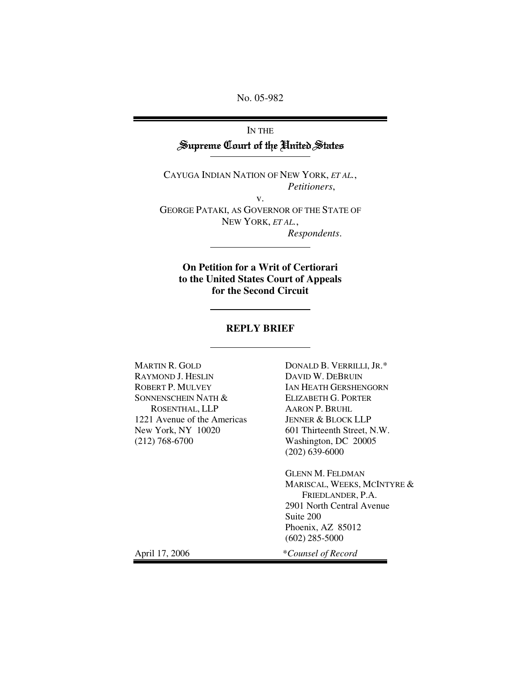No. 05-982

# IN THE Supreme Court of the United States

CAYUGA INDIAN NATION OF NEW YORK, *ET AL.*, *Petitioners*,

v. GEORGE PATAKI, AS GOVERNOR OF THE STATE OF NEW YORK, *ET AL.*, *Respondents*.

**On Petition for a Writ of Certiorari to the United States Court of Appeals for the Second Circuit**

#### **REPLY BRIEF**

MARTIN R. GOLD RAYMOND J. HESLIN ROBERT P. MULVEY SONNENSCHEIN NATH & ROSENTHAL, LLP 1221 Avenue of the Americas New York, NY 10020 (212) 768-6700

DONALD B. VERRILLI, JR.\* DAVID W. DEBRUIN IAN HEATH GERSHENGORN ELIZABETH G. PORTER AARON P. BRUHL JENNER & BLOCK LLP 601 Thirteenth Street, N.W. Washington, DC 20005 (202) 639-6000

GLENN M. FELDMAN MARISCAL, WEEKS, MCINTYRE & FRIEDLANDER, P.A. 2901 North Central Avenue Suite 200 Phoenix, AZ 85012 (602) 285-5000

April 17, 2006 \**Counsel of Record*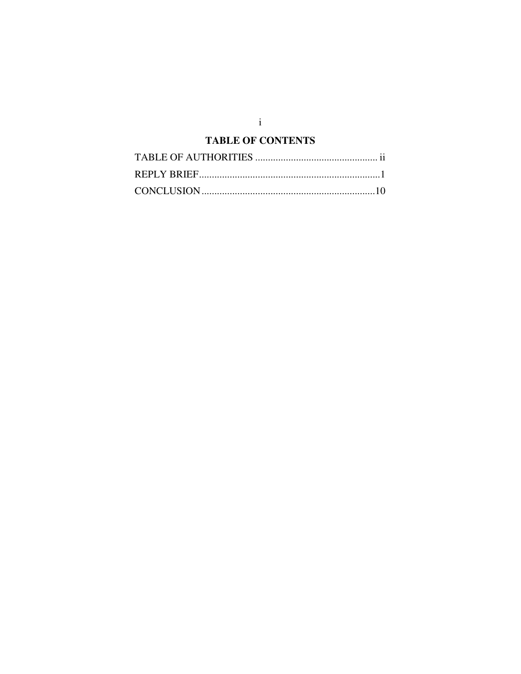#### **TABLE OF CONTENTS**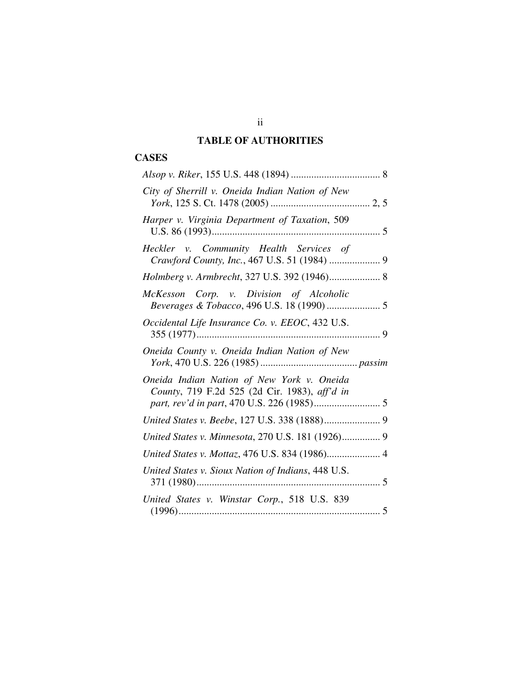### **TABLE OF AUTHORITIES**

### **CASES**

| City of Sherrill v. Oneida Indian Nation of New                                             |  |
|---------------------------------------------------------------------------------------------|--|
| Harper v. Virginia Department of Taxation, 509                                              |  |
| Heckler v. Community Health Services of<br>Crawford County, Inc., 467 U.S. 51 (1984)  9     |  |
| Holmberg v. Armbrecht, 327 U.S. 392 (1946) 8                                                |  |
| McKesson Corp. v. Division of Alcoholic<br>Beverages & Tobacco, 496 U.S. 18 (1990)  5       |  |
| Occidental Life Insurance Co. v. EEOC, 432 U.S.                                             |  |
| Oneida County v. Oneida Indian Nation of New                                                |  |
| Oneida Indian Nation of New York v. Oneida<br>County, 719 F.2d 525 (2d Cir. 1983), aff'd in |  |
|                                                                                             |  |
| United States v. Minnesota, 270 U.S. 181 (1926) 9                                           |  |
| United States v. Mottaz, 476 U.S. 834 (1986) 4                                              |  |
| United States v. Sioux Nation of Indians, 448 U.S.                                          |  |
| United States v. Winstar Corp., 518 U.S. 839                                                |  |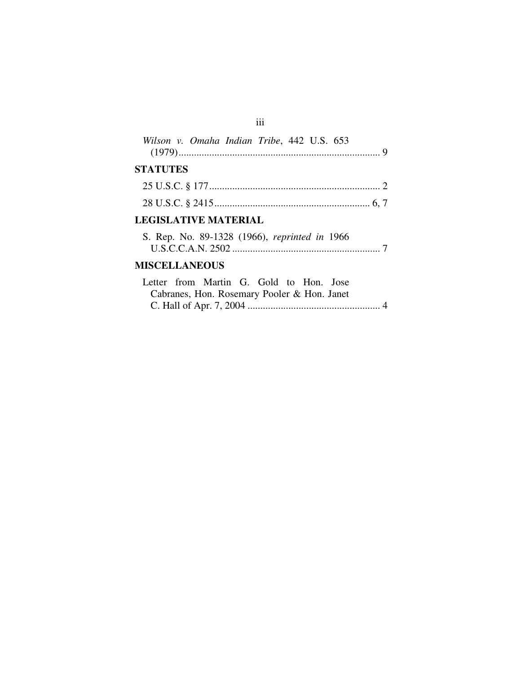| Wilson v. Omaha Indian Tribe, 442 U.S. 653    |  |
|-----------------------------------------------|--|
| <b>STATUTES</b>                               |  |
|                                               |  |
|                                               |  |
| <b>LEGISLATIVE MATERIAL</b>                   |  |
| S. Rep. No. 89-1328 (1966), reprinted in 1966 |  |

## **MISCELLANEOUS**

|  | Letter from Martin G. Gold to Hon. Jose     |  |  |  |
|--|---------------------------------------------|--|--|--|
|  | Cabranes, Hon. Rosemary Pooler & Hon. Janet |  |  |  |
|  |                                             |  |  |  |

iii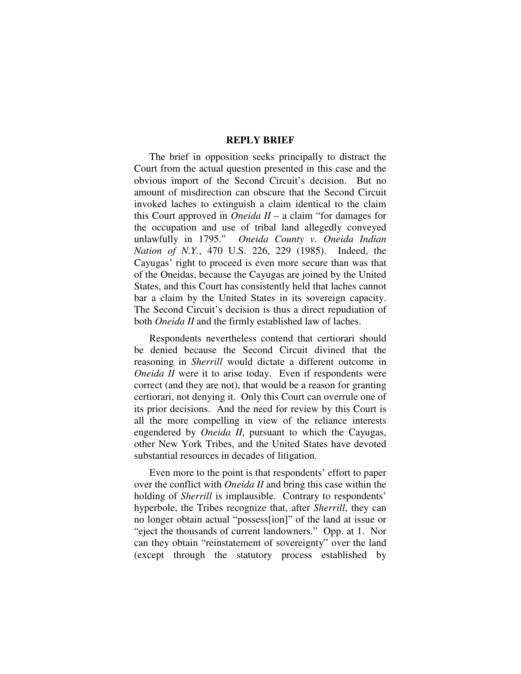#### **REPLY BRIEF**

The brief in opposition seeks principally to distract the Court from the actual question presented in this case and the obvious import of the Second Circuit's decision. But no amount of misdirection can obscure that the Second Circuit invoked laches to extinguish a claim identical to the claim this Court approved in *Oneida II* – a claim "for damages for the occupation and use of tribal land allegedly conveyed unlawfully in 1795." *Oneida County v. Oneida Indian Nation of N.Y.*, 470 U.S. 226, 229 (1985). Indeed, the Cayugas' right to proceed is even more secure than was that of the Oneidas, because the Cayugas are joined by the United States, and this Court has consistently held that laches cannot bar a claim by the United States in its sovereign capacity. The Second Circuit's decision is thus a direct repudiation of both *Oneida II* and the firmly established law of laches.

Respondents nevertheless contend that certiorari should be denied because the Second Circuit divined that the reasoning in *Sherrill* would dictate a different outcome in *Oneida II* were it to arise today. Even if respondents were correct (and they are not), that would be a reason for granting certiorari, not denying it. Only this Court can overrule one of its prior decisions. And the need for review by this Court is all the more compelling in view of the reliance interests engendered by *Oneida II*, pursuant to which the Cayugas, other New York Tribes, and the United States have devoted substantial resources in decades of litigation.

Even more to the point is that respondents' effort to paper over the conflict with *Oneida II* and bring this case within the holding of *Sherrill* is implausible. Contrary to respondents' hyperbole, the Tribes recognize that, after *Sherrill*, they can no longer obtain actual "possess[ion]" of the land at issue or "eject the thousands of current landowners." Opp. at 1. Nor can they obtain "reinstatement of sovereignty" over the land (except through the statutory process established by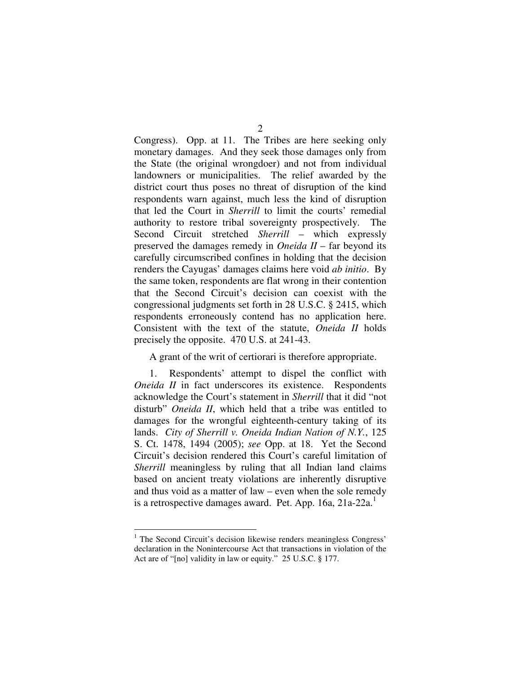Congress). Opp. at 11. The Tribes are here seeking only monetary damages. And they seek those damages only from the State (the original wrongdoer) and not from individual landowners or municipalities. The relief awarded by the district court thus poses no threat of disruption of the kind respondents warn against, much less the kind of disruption that led the Court in *Sherrill* to limit the courts' remedial authority to restore tribal sovereignty prospectively. The Second Circuit stretched *Sherrill* – which expressly preserved the damages remedy in *Oneida II* – far beyond its carefully circumscribed confines in holding that the decision renders the Cayugas' damages claims here void *ab initio*. By the same token, respondents are flat wrong in their contention that the Second Circuit's decision can coexist with the congressional judgments set forth in 28 U.S.C. § 2415, which respondents erroneously contend has no application here. Consistent with the text of the statute, *Oneida II* holds precisely the opposite. 470 U.S. at 241-43.

A grant of the writ of certiorari is therefore appropriate.

1. Respondents' attempt to dispel the conflict with *Oneida II* in fact underscores its existence. Respondents acknowledge the Court's statement in *Sherrill* that it did "not disturb" *Oneida II*, which held that a tribe was entitled to damages for the wrongful eighteenth-century taking of its lands. *City of Sherrill v. Oneida Indian Nation of N.Y.*, 125 S. Ct. 1478, 1494 (2005); *see* Opp. at 18. Yet the Second Circuit's decision rendered this Court's careful limitation of *Sherrill* meaningless by ruling that all Indian land claims based on ancient treaty violations are inherently disruptive and thus void as a matter of law – even when the sole remedy is a retrospective damages award. Pet. App. 16a, 21a-22a.<sup>1</sup>

 $<sup>1</sup>$  The Second Circuit's decision likewise renders meaningless Congress'</sup> declaration in the Nonintercourse Act that transactions in violation of the Act are of "[no] validity in law or equity." 25 U.S.C. § 177.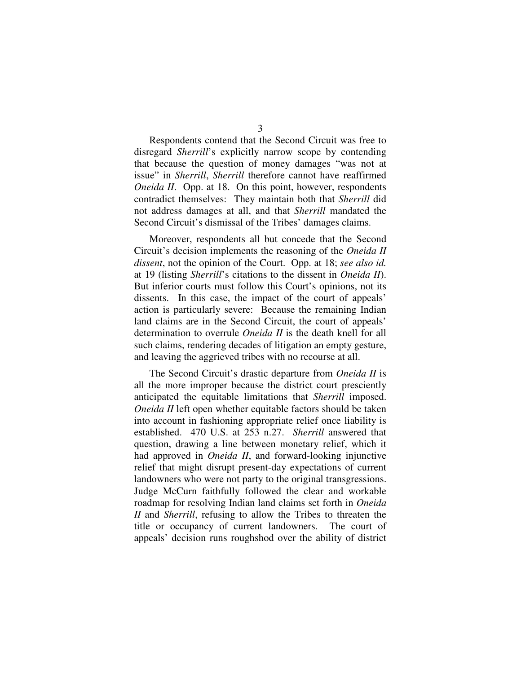Respondents contend that the Second Circuit was free to disregard *Sherrill*'s explicitly narrow scope by contending that because the question of money damages "was not at issue" in *Sherrill*, *Sherrill* therefore cannot have reaffirmed *Oneida II*. Opp. at 18. On this point, however, respondents contradict themselves: They maintain both that *Sherrill* did not address damages at all, and that *Sherrill* mandated the Second Circuit's dismissal of the Tribes' damages claims.

Moreover, respondents all but concede that the Second Circuit's decision implements the reasoning of the *Oneida II dissent*, not the opinion of the Court. Opp. at 18; *see also id.* at 19 (listing *Sherrill*'s citations to the dissent in *Oneida II*). But inferior courts must follow this Court's opinions, not its dissents. In this case, the impact of the court of appeals' action is particularly severe: Because the remaining Indian land claims are in the Second Circuit, the court of appeals' determination to overrule *Oneida II* is the death knell for all such claims, rendering decades of litigation an empty gesture, and leaving the aggrieved tribes with no recourse at all.

The Second Circuit's drastic departure from *Oneida II* is all the more improper because the district court presciently anticipated the equitable limitations that *Sherrill* imposed. *Oneida II* left open whether equitable factors should be taken into account in fashioning appropriate relief once liability is established. 470 U.S. at 253 n.27. *Sherrill* answered that question, drawing a line between monetary relief, which it had approved in *Oneida II*, and forward-looking injunctive relief that might disrupt present-day expectations of current landowners who were not party to the original transgressions. Judge McCurn faithfully followed the clear and workable roadmap for resolving Indian land claims set forth in *Oneida II* and *Sherrill*, refusing to allow the Tribes to threaten the title or occupancy of current landowners. The court of appeals' decision runs roughshod over the ability of district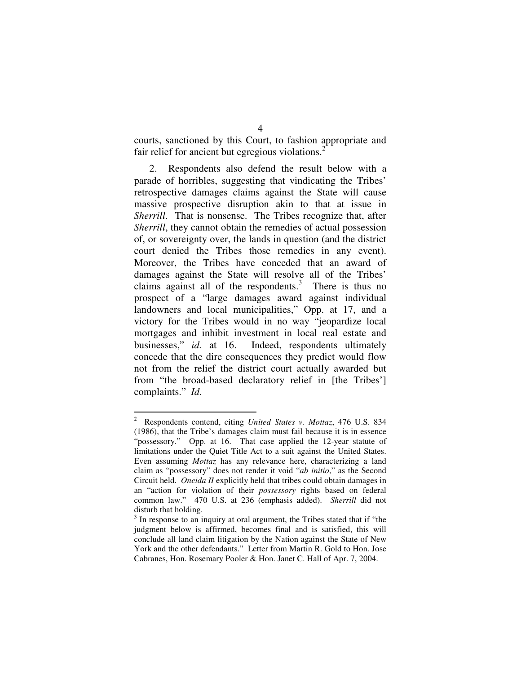courts, sanctioned by this Court, to fashion appropriate and fair relief for ancient but egregious violations.<sup>2</sup>

2. Respondents also defend the result below with a parade of horribles, suggesting that vindicating the Tribes' retrospective damages claims against the State will cause massive prospective disruption akin to that at issue in *Sherrill*. That is nonsense. The Tribes recognize that, after *Sherrill*, they cannot obtain the remedies of actual possession of, or sovereignty over, the lands in question (and the district court denied the Tribes those remedies in any event). Moreover, the Tribes have conceded that an award of damages against the State will resolve all of the Tribes' claims against all of the respondents. $3$  There is thus no prospect of a "large damages award against individual landowners and local municipalities," Opp. at 17, and a victory for the Tribes would in no way "jeopardize local mortgages and inhibit investment in local real estate and businesses," *id.* at 16. Indeed, respondents ultimately concede that the dire consequences they predict would flow not from the relief the district court actually awarded but from "the broad-based declaratory relief in [the Tribes'] complaints." *Id.*

<sup>2</sup> Respondents contend, citing *United States v. Mottaz*, 476 U.S. 834 (1986), that the Tribe's damages claim must fail because it is in essence "possessory." Opp. at 16. That case applied the 12-year statute of limitations under the Quiet Title Act to a suit against the United States. Even assuming *Mottaz* has any relevance here, characterizing a land claim as "possessory" does not render it void "*ab initio*," as the Second Circuit held. *Oneida II* explicitly held that tribes could obtain damages in an "action for violation of their *possessory* rights based on federal common law." 470 U.S. at 236 (emphasis added). *Sherrill* did not disturb that holding.

 $3$  In response to an inquiry at oral argument, the Tribes stated that if "the judgment below is affirmed, becomes final and is satisfied, this will conclude all land claim litigation by the Nation against the State of New York and the other defendants." Letter from Martin R. Gold to Hon. Jose Cabranes, Hon. Rosemary Pooler & Hon. Janet C. Hall of Apr. 7, 2004.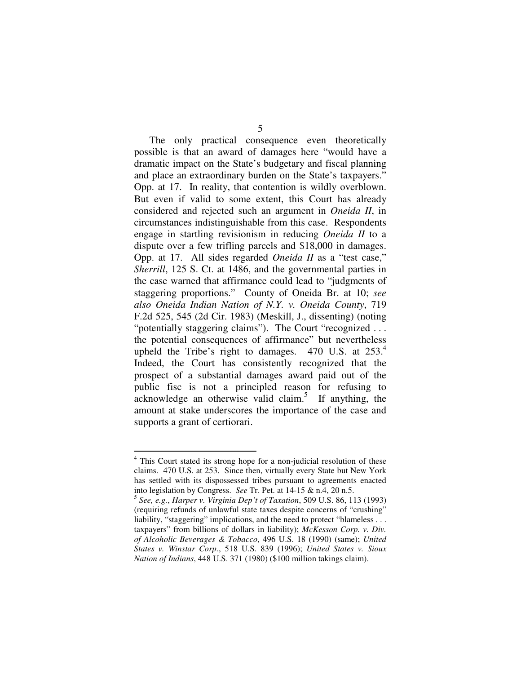The only practical consequence even theoretically possible is that an award of damages here "would have a dramatic impact on the State's budgetary and fiscal planning and place an extraordinary burden on the State's taxpayers." Opp. at 17. In reality, that contention is wildly overblown. But even if valid to some extent, this Court has already considered and rejected such an argument in *Oneida II*, in circumstances indistinguishable from this case. Respondents engage in startling revisionism in reducing *Oneida II* to a dispute over a few trifling parcels and \$18,000 in damages. Opp. at 17. All sides regarded *Oneida II* as a "test case," *Sherrill*, 125 S. Ct. at 1486, and the governmental parties in the case warned that affirmance could lead to "judgments of staggering proportions." County of Oneida Br. at 10; *see also Oneida Indian Nation of N.Y. v. Oneida County*, 719 F.2d 525, 545 (2d Cir. 1983) (Meskill, J., dissenting) (noting "potentially staggering claims"). The Court "recognized ... the potential consequences of affirmance" but nevertheless upheld the Tribe's right to damages. 470 U.S. at 253.4 Indeed, the Court has consistently recognized that the prospect of a substantial damages award paid out of the public fisc is not a principled reason for refusing to  $acknowledge$  an otherwise valid claim.<sup>5</sup> If anything, the amount at stake underscores the importance of the case and supports a grant of certiorari.

<sup>4</sup> This Court stated its strong hope for a non-judicial resolution of these claims. 470 U.S. at 253. Since then, virtually every State but New York has settled with its dispossessed tribes pursuant to agreements enacted into legislation by Congress. *See* Tr. Pet. at 14-15 & n.4, 20 n.5.

<sup>5</sup> *See, e.g.*, *Harper v. Virginia Dep't of Taxation*, 509 U.S. 86, 113 (1993) (requiring refunds of unlawful state taxes despite concerns of "crushing" liability, "staggering" implications, and the need to protect "blameless . . . taxpayers" from billions of dollars in liability); *McKesson Corp. v. Div. of Alcoholic Beverages & Tobacco*, 496 U.S. 18 (1990) (same); *United States v. Winstar Corp.*, 518 U.S. 839 (1996); *United States v. Sioux Nation of Indians*, 448 U.S. 371 (1980) (\$100 million takings claim).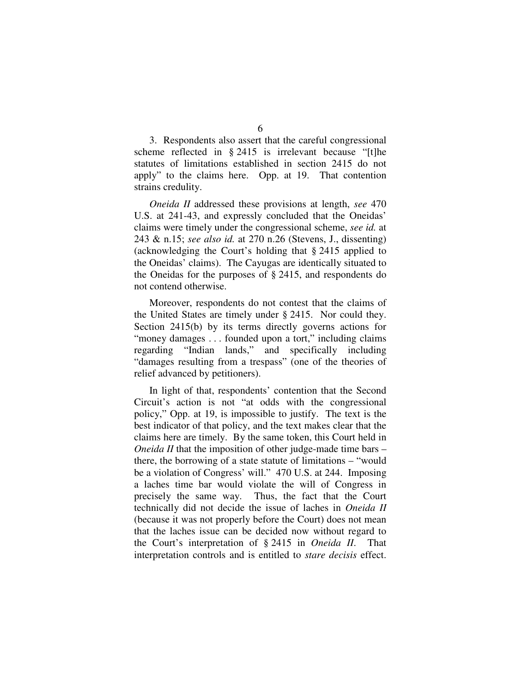3. Respondents also assert that the careful congressional scheme reflected in § 2415 is irrelevant because "[t]he statutes of limitations established in section 2415 do not apply" to the claims here. Opp. at 19. That contention strains credulity.

*Oneida II* addressed these provisions at length, *see* 470 U.S. at 241-43, and expressly concluded that the Oneidas' claims were timely under the congressional scheme, *see id.* at 243 & n.15; *see also id.* at 270 n.26 (Stevens, J., dissenting) (acknowledging the Court's holding that § 2415 applied to the Oneidas' claims). The Cayugas are identically situated to the Oneidas for the purposes of § 2415, and respondents do not contend otherwise.

Moreover, respondents do not contest that the claims of the United States are timely under § 2415. Nor could they. Section 2415(b) by its terms directly governs actions for "money damages . . . founded upon a tort," including claims regarding "Indian lands," and specifically including "damages resulting from a trespass" (one of the theories of relief advanced by petitioners).

In light of that, respondents' contention that the Second Circuit's action is not "at odds with the congressional policy," Opp. at 19, is impossible to justify. The text is the best indicator of that policy, and the text makes clear that the claims here are timely. By the same token, this Court held in *Oneida II* that the imposition of other judge-made time bars – there, the borrowing of a state statute of limitations – "would be a violation of Congress' will." 470 U.S. at 244. Imposing a laches time bar would violate the will of Congress in precisely the same way. Thus, the fact that the Court technically did not decide the issue of laches in *Oneida II* (because it was not properly before the Court) does not mean that the laches issue can be decided now without regard to the Court's interpretation of § 2415 in *Oneida II*. That interpretation controls and is entitled to *stare decisis* effect.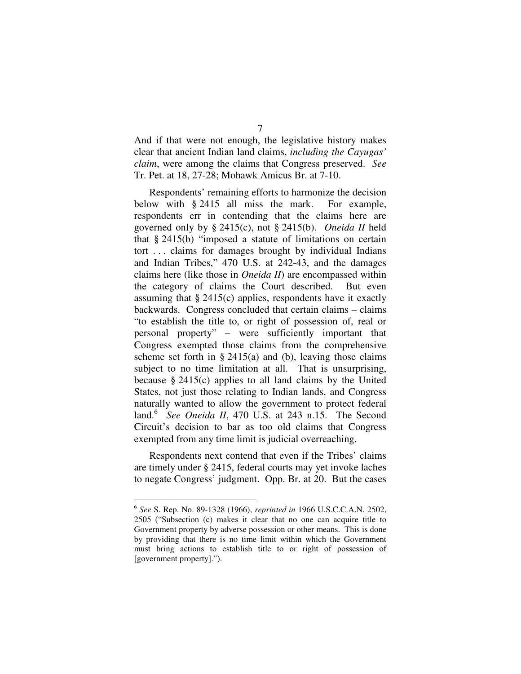And if that were not enough, the legislative history makes clear that ancient Indian land claims, *including the Cayugas' claim*, were among the claims that Congress preserved. *See* Tr. Pet. at 18, 27-28; Mohawk Amicus Br. at 7-10.

Respondents' remaining efforts to harmonize the decision below with § 2415 all miss the mark. For example, respondents err in contending that the claims here are governed only by § 2415(c), not § 2415(b). *Oneida II* held that § 2415(b) "imposed a statute of limitations on certain tort . . . claims for damages brought by individual Indians and Indian Tribes," 470 U.S. at 242-43, and the damages claims here (like those in *Oneida II*) are encompassed within the category of claims the Court described. But even assuming that  $\S 2415(c)$  applies, respondents have it exactly backwards. Congress concluded that certain claims – claims "to establish the title to, or right of possession of, real or personal property" – were sufficiently important that Congress exempted those claims from the comprehensive scheme set forth in  $\S 2415(a)$  and (b), leaving those claims subject to no time limitation at all. That is unsurprising, because § 2415(c) applies to all land claims by the United States, not just those relating to Indian lands, and Congress naturally wanted to allow the government to protect federal land. 6 *See Oneida II*, 470 U.S. at 243 n.15. The Second Circuit's decision to bar as too old claims that Congress exempted from any time limit is judicial overreaching.

Respondents next contend that even if the Tribes' claims are timely under § 2415, federal courts may yet invoke laches to negate Congress' judgment. Opp. Br. at 20. But the cases

<sup>6</sup> *See* S. Rep. No. 89-1328 (1966), *reprinted in* 1966 U.S.C.C.A.N. 2502, 2505 ("Subsection (c) makes it clear that no one can acquire title to Government property by adverse possession or other means. This is done by providing that there is no time limit within which the Government must bring actions to establish title to or right of possession of [government property].").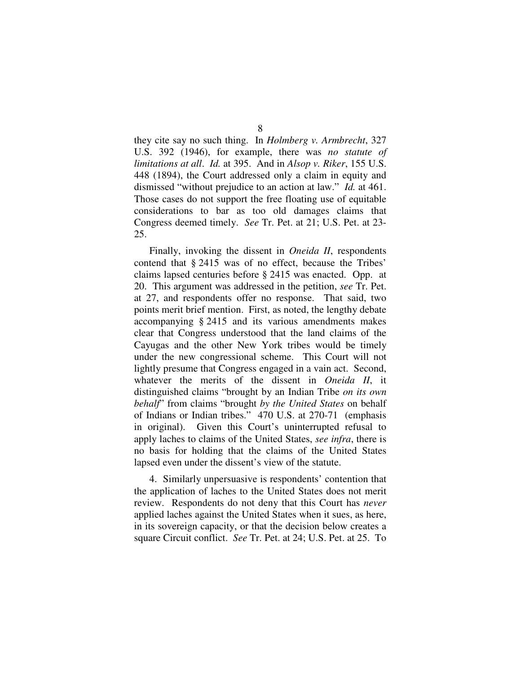they cite say no such thing. In *Holmberg v. Armbrecht*, 327 U.S. 392 (1946), for example, there was *no statute of limitations at all*. *Id.* at 395. And in *Alsop v. Riker*, 155 U.S. 448 (1894), the Court addressed only a claim in equity and dismissed "without prejudice to an action at law." *Id.* at 461. Those cases do not support the free floating use of equitable considerations to bar as too old damages claims that Congress deemed timely. *See* Tr. Pet. at 21; U.S. Pet. at 23- 25.

Finally, invoking the dissent in *Oneida II*, respondents contend that § 2415 was of no effect, because the Tribes' claims lapsed centuries before § 2415 was enacted. Opp. at 20. This argument was addressed in the petition, *see* Tr. Pet. at 27, and respondents offer no response. That said, two points merit brief mention. First, as noted, the lengthy debate accompanying § 2415 and its various amendments makes clear that Congress understood that the land claims of the Cayugas and the other New York tribes would be timely under the new congressional scheme. This Court will not lightly presume that Congress engaged in a vain act. Second, whatever the merits of the dissent in *Oneida II*, it distinguished claims "brought by an Indian Tribe *on its own behalf*" from claims "brought *by the United States* on behalf of Indians or Indian tribes." 470 U.S. at 270-71 (emphasis in original). Given this Court's uninterrupted refusal to apply laches to claims of the United States, *see infra*, there is no basis for holding that the claims of the United States lapsed even under the dissent's view of the statute.

4. Similarly unpersuasive is respondents' contention that the application of laches to the United States does not merit review. Respondents do not deny that this Court has *never* applied laches against the United States when it sues, as here, in its sovereign capacity, or that the decision below creates a square Circuit conflict. *See* Tr. Pet. at 24; U.S. Pet. at 25. To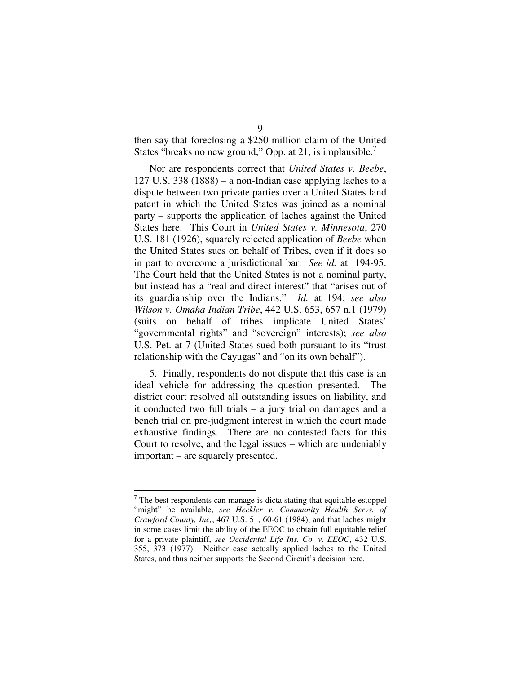then say that foreclosing a \$250 million claim of the United States "breaks no new ground," Opp. at 21, is implausible.<sup>7</sup>

Nor are respondents correct that *United States v. Beebe*, 127 U.S. 338 (1888) – a non-Indian case applying laches to a dispute between two private parties over a United States land patent in which the United States was joined as a nominal party – supports the application of laches against the United States here. This Court in *United States v. Minnesota*, 270 U.S. 181 (1926), squarely rejected application of *Beebe* when the United States sues on behalf of Tribes, even if it does so in part to overcome a jurisdictional bar. *See id.* at 194-95. The Court held that the United States is not a nominal party, but instead has a "real and direct interest" that "arises out of its guardianship over the Indians." *Id.* at 194; *see also Wilson v. Omaha Indian Tribe*, 442 U.S. 653, 657 n.1 (1979) (suits on behalf of tribes implicate United States' "governmental rights" and "sovereign" interests); *see also* U.S. Pet. at 7 (United States sued both pursuant to its "trust relationship with the Cayugas" and "on its own behalf").

5. Finally, respondents do not dispute that this case is an ideal vehicle for addressing the question presented. The district court resolved all outstanding issues on liability, and it conducted two full trials – a jury trial on damages and a bench trial on pre-judgment interest in which the court made exhaustive findings. There are no contested facts for this Court to resolve, and the legal issues – which are undeniably important – are squarely presented.

 $<sup>7</sup>$  The best respondents can manage is dicta stating that equitable estoppel</sup> "might" be available, *see Heckler v. Community Health Servs. of Crawford County, Inc,*, 467 U.S. 51, 60-61 (1984), and that laches might in some cases limit the ability of the EEOC to obtain full equitable relief for a private plaintiff, *see Occidental Life Ins. Co. v. EEOC*, 432 U.S. 355, 373 (1977). Neither case actually applied laches to the United States, and thus neither supports the Second Circuit's decision here.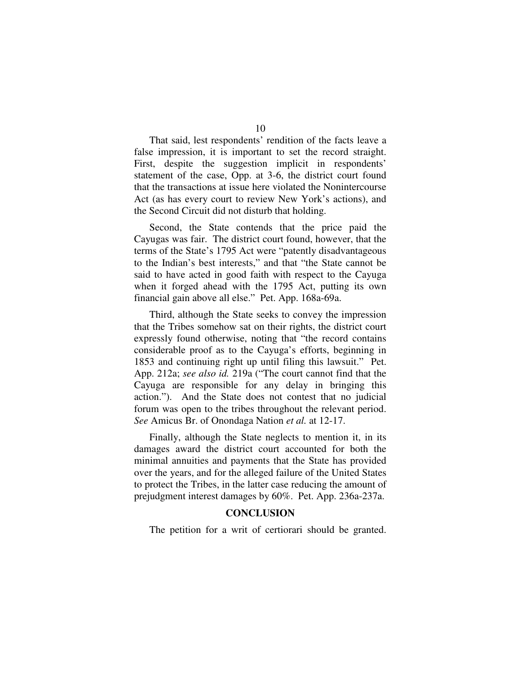That said, lest respondents' rendition of the facts leave a false impression, it is important to set the record straight. First, despite the suggestion implicit in respondents' statement of the case, Opp. at 3-6, the district court found that the transactions at issue here violated the Nonintercourse Act (as has every court to review New York's actions), and the Second Circuit did not disturb that holding.

Second, the State contends that the price paid the Cayugas was fair. The district court found, however, that the terms of the State's 1795 Act were "patently disadvantageous to the Indian's best interests," and that "the State cannot be said to have acted in good faith with respect to the Cayuga when it forged ahead with the 1795 Act, putting its own financial gain above all else." Pet. App. 168a-69a.

Third, although the State seeks to convey the impression that the Tribes somehow sat on their rights, the district court expressly found otherwise, noting that "the record contains considerable proof as to the Cayuga's efforts, beginning in 1853 and continuing right up until filing this lawsuit." Pet. App. 212a; *see also id.* 219a ("The court cannot find that the Cayuga are responsible for any delay in bringing this action."). And the State does not contest that no judicial forum was open to the tribes throughout the relevant period. *See* Amicus Br. of Onondaga Nation *et al.* at 12-17.

Finally, although the State neglects to mention it, in its damages award the district court accounted for both the minimal annuities and payments that the State has provided over the years, and for the alleged failure of the United States to protect the Tribes, in the latter case reducing the amount of prejudgment interest damages by 60%. Pet. App. 236a-237a.

#### **CONCLUSION**

The petition for a writ of certiorari should be granted.